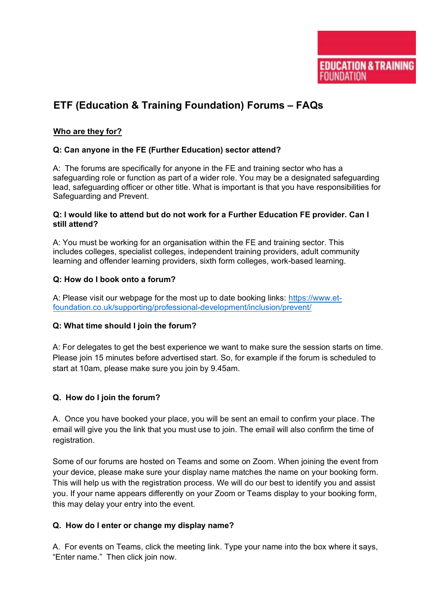# **ETF (Education & Training Foundation) Forums – FAQs**

# **Who are they for?**

# **Q: Can anyone in the FE (Further Education) sector attend?**

A: The forums are specifically for anyone in the FE and training sector who has a safeguarding role or function as part of a wider role. You may be a designated safeguarding lead, safeguarding officer or other title. What is important is that you have responsibilities for Safeguarding and Prevent.

## **Q: I would like to attend but do not work for a Further Education FE provider. Can I still attend?**

A: You must be working for an organisation within the FE and training sector. This includes colleges, specialist colleges, independent training providers, adult community learning and offender learning providers, sixth form colleges, work-based learning.

## **Q: How do I book onto a forum?**

A: Please visit our webpage for the most up to date booking links: [https://www.et](https://www.et-foundation.co.uk/supporting/professional-development/inclusion/prevent/)[foundation.co.uk/supporting/professional-development/inclusion/prevent/](https://www.et-foundation.co.uk/supporting/professional-development/inclusion/prevent/)

# **Q: What time should I join the forum?**

A: For delegates to get the best experience we want to make sure the session starts on time. Please join 15 minutes before advertised start. So, for example if the forum is scheduled to start at 10am, please make sure you join by 9.45am.

# **Q. How do I join the forum?**

A. Once you have booked your place, you will be sent an email to confirm your place. The email will give you the link that you must use to join. The email will also confirm the time of registration.

Some of our forums are hosted on Teams and some on Zoom. When joining the event from your device, please make sure your display name matches the name on your booking form. This will help us with the registration process. We will do our best to identify you and assist you. If your name appears differently on your Zoom or Teams display to your booking form, this may delay your entry into the event.

## **Q. How do I enter or change my display name?**

A. For events on Teams, click the meeting link. Type your name into the box where it says, "Enter name." Then click join now.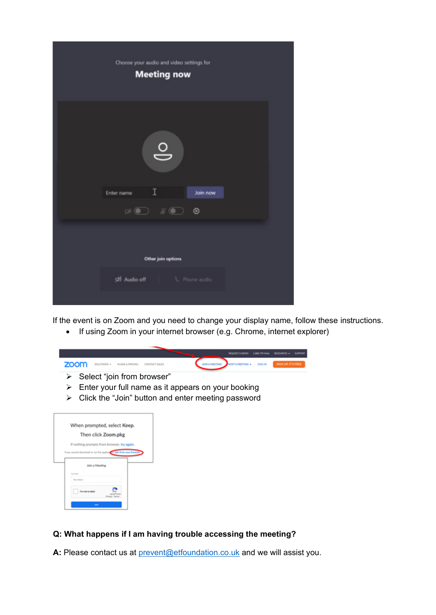| Choose your audio and video settings for<br><b>Meeting now</b>                                                                                                                                                                                                                                                                                      |  |
|-----------------------------------------------------------------------------------------------------------------------------------------------------------------------------------------------------------------------------------------------------------------------------------------------------------------------------------------------------|--|
| $\circ$<br>I<br>Enter name<br>Join now                                                                                                                                                                                                                                                                                                              |  |
| $\begin{picture}(150,10) \put(0,0){\line(1,0){10}} \put(15,0){\line(1,0){10}} \put(15,0){\line(1,0){10}} \put(15,0){\line(1,0){10}} \put(15,0){\line(1,0){10}} \put(15,0){\line(1,0){10}} \put(15,0){\line(1,0){10}} \put(15,0){\line(1,0){10}} \put(15,0){\line(1,0){10}} \put(15,0){\line(1,0){10}} \put(15,0){\line(1,0){10}} \put(15,0){\line($ |  |
| Other join options                                                                                                                                                                                                                                                                                                                                  |  |
| 520 Audio off C Phone audio                                                                                                                                                                                                                                                                                                                         |  |

If the event is on Zoom and you need to change your display name, follow these instructions.

• If using Zoom in your internet browser (e.g. Chrome, internet explorer)



| When prompted, select Keep.                                           |
|-----------------------------------------------------------------------|
| Then click Zoom.pkg                                                   |
| If nothing prompts from browser, try again.                           |
| If you cannot download or run the application, Join from your browser |
| Join a Meeting                                                        |
| <b>Star Roma</b><br><b>Wayn Tripping</b>                              |
| <b>Tm not a robot</b><br>Privacy                                      |
| John.                                                                 |

# **Q: What happens if I am having trouble accessing the meeting?**

A: Please contact us at **prevent@etfoundation.co.uk** and we will assist you.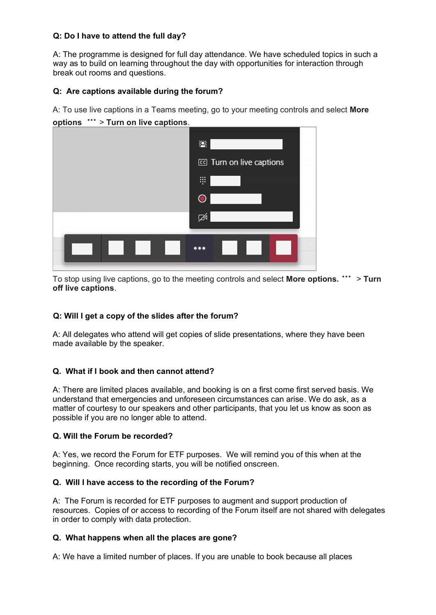## **Q: Do I have to attend the full day?**

A: The programme is designed for full day attendance. We have scheduled topics in such a way as to build on learning throughout the day with opportunities for interaction through break out rooms and questions.

## **Q: Are captions available during the forum?**

A: To use live captions in a Teams meeting, go to your meeting controls and select **More** 



To stop using live captions, go to the meeting controls and select **More options. \*\*\*** > **Turn off live captions**.

# **Q: Will I get a copy of the slides after the forum?**

A: All delegates who attend will get copies of slide presentations, where they have been made available by the speaker.

## **Q. What if I book and then cannot attend?**

A: There are limited places available, and booking is on a first come first served basis. We understand that emergencies and unforeseen circumstances can arise. We do ask, as a matter of courtesy to our speakers and other participants, that you let us know as soon as possible if you are no longer able to attend.

## **Q. Will the Forum be recorded?**

A: Yes, we record the Forum for ETF purposes. We will remind you of this when at the beginning. Once recording starts, you will be notified onscreen.

## **Q. Will I have access to the recording of the Forum?**

A: The Forum is recorded for ETF purposes to augment and support production of resources. Copies of or access to recording of the Forum itself are not shared with delegates in order to comply with data protection.

## **Q. What happens when all the places are gone?**

A: We have a limited number of places. If you are unable to book because all places